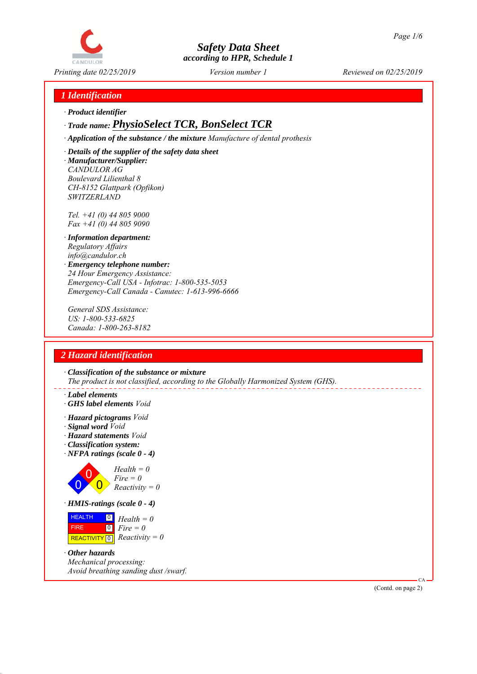

*1 Identification*

*∙ Product identifier*

# *∙ Trade name: PhysioSelect TCR, BonSelect TCR*

*∙ Application of the substance / the mixture Manufacture of dental prothesis*

*∙ Details of the supplier of the safety data sheet ∙ Manufacturer/Supplier: CANDULOR AG Boulevard Lilienthal 8 CH-8152 Glattpark (Opfikon) SWITZERLAND*

*Tel. +41 (0) 44 805 9000 Fax +41 (0) 44 805 9090*

- *∙ Information department: Regulatory Affairs info@candulor.ch*
- *∙ Emergency telephone number: 24 Hour Emergency Assistance: Emergency-Call USA - Infotrac: 1-800-535-5053 Emergency-Call Canada - Canutec: 1-613-996-6666*

*General SDS Assistance: US: 1-800-533-6825 Canada: 1-800-263-8182*

# *2 Hazard identification*

*∙ Classification of the substance or mixture The product is not classified, according to the Globally Harmonized System (GHS).*

- *∙ Label elements*
- *∙ GHS label elements Void*
- *∙ Hazard pictograms Void*
- *∙ Signal word Void*
- *∙ Hazard statements Void*
- *∙ Classification system:*
- *∙ NFPA ratings (scale 0 4)*



 $\boxed{\text{REACTIVITY} \boxed{0}}$  Reactivity = 0

*∙ Other hazards Mechanical processing: Avoid breathing sanding dust /swarf.*

(Contd. on page 2)

CA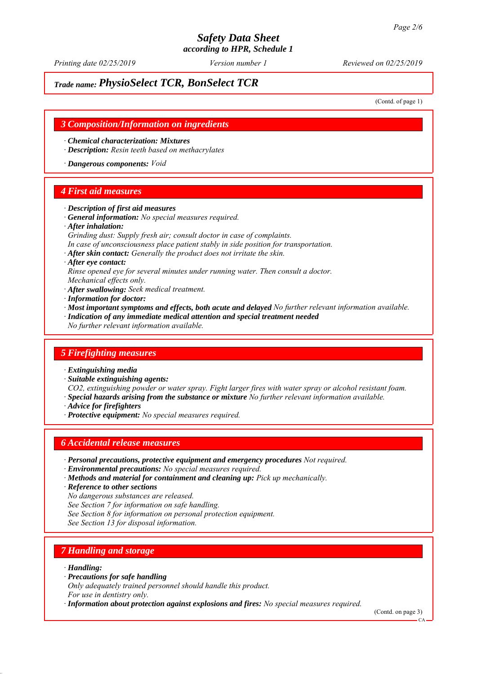*Printing date 02/25/2019 Reviewed on 02/25/2019 Version number 1*

# *Trade name: PhysioSelect TCR, BonSelect TCR*

(Contd. of page 1)

### *3 Composition/Information on ingredients*

*∙ Chemical characterization: Mixtures*

*∙ Description: Resin teeth based on methacrylates*

*∙ Dangerous components: Void*

## *4 First aid measures*

- *∙ Description of first aid measures*
- *∙ General information: No special measures required.*
- *∙ After inhalation:*
- *Grinding dust: Supply fresh air; consult doctor in case of complaints.*
- *In case of unconsciousness place patient stably in side position for transportation.*

*∙ After skin contact: Generally the product does not irritate the skin.*

- *∙ After eye contact:*
- *Rinse opened eye for several minutes under running water. Then consult a doctor.*
- *Mechanical effects only. ∙ After swallowing: Seek medical treatment.*
- *∙ Information for doctor:*
- *∙ Most important symptoms and effects, both acute and delayed No further relevant information available.*
- *∙ Indication of any immediate medical attention and special treatment needed*
- *No further relevant information available.*

# *5 Firefighting measures*

- *∙ Extinguishing media*
- *∙ Suitable extinguishing agents:*
- *CO2, extinguishing powder or water spray. Fight larger fires with water spray or alcohol resistant foam.*
- *∙ Special hazards arising from the substance or mixture No further relevant information available.*
- *∙ Advice for firefighters*
- *∙ Protective equipment: No special measures required.*

# *6 Accidental release measures*

- *∙ Personal precautions, protective equipment and emergency procedures Not required.*
- *∙ Environmental precautions: No special measures required.*
- *∙ Methods and material for containment and cleaning up: Pick up mechanically.*
- *∙ Reference to other sections*

*No dangerous substances are released.*

*See Section 7 for information on safe handling.*

*See Section 8 for information on personal protection equipment.*

*See Section 13 for disposal information.*

# *7 Handling and storage*

*∙ Handling:*

- *∙ Precautions for safe handling*
- *Only adequately trained personnel should handle this product.*
- *For use in dentistry only.*

*∙ Information about protection against explosions and fires: No special measures required.*

(Contd. on page 3)

CA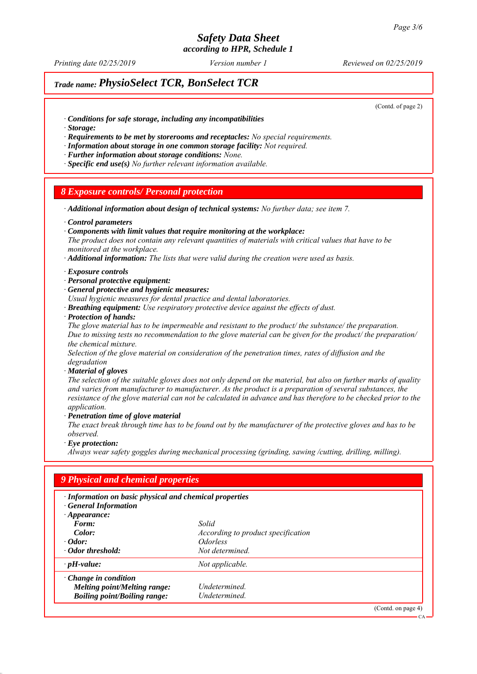*Printing date 02/25/2019 Reviewed on 02/25/2019 Version number 1*

# *Trade name: PhysioSelect TCR, BonSelect TCR*

(Contd. of page 2)

- *∙ Conditions for safe storage, including any incompatibilities*
- *∙ Storage:*
- *∙ Requirements to be met by storerooms and receptacles: No special requirements.*
- *∙ Information about storage in one common storage facility: Not required.*
- *∙ Further information about storage conditions: None.*
- *∙ Specific end use(s) No further relevant information available.*

#### *8 Exposure controls/ Personal protection*

*∙ Additional information about design of technical systems: No further data; see item 7.*

- *∙ Control parameters*
- *∙ Components with limit values that require monitoring at the workplace:*

*The product does not contain any relevant quantities of materials with critical values that have to be monitored at the workplace.*

*∙ Additional information: The lists that were valid during the creation were used as basis.*

- *∙ Exposure controls*
- *∙ Personal protective equipment:*
- *∙ General protective and hygienic measures:*

*Usual hygienic measures for dental practice and dental laboratories.*

*∙ Breathing equipment: Use respiratory protective device against the effects of dust.*

*∙ Protection of hands:*

*The glove material has to be impermeable and resistant to the product/ the substance/ the preparation. Due to missing tests no recommendation to the glove material can be given for the product/ the preparation/ the chemical mixture.*

*Selection of the glove material on consideration of the penetration times, rates of diffusion and the degradation*

*∙ Material of gloves*

*The selection of the suitable gloves does not only depend on the material, but also on further marks of quality and varies from manufacturer to manufacturer. As the product is a preparation of several substances, the resistance of the glove material can not be calculated in advance and has therefore to be checked prior to the application.*

*∙ Penetration time of glove material*

*The exact break through time has to be found out by the manufacturer of the protective gloves and has to be observed.*

*∙ Eye protection:*

*Always wear safety goggles during mechanical processing (grinding, sawing /cutting, drilling, milling).*

| · Information on basic physical and chemical properties<br><b>General Information</b> |                                    |  |
|---------------------------------------------------------------------------------------|------------------------------------|--|
| $\cdot$ Appearance:<br>Form:                                                          | Solid                              |  |
| Color:                                                                                | According to product specification |  |
| $\cdot$ Odor:                                                                         | <i><u><b>Odorless</b></u></i>      |  |
| · Odor threshold:                                                                     | Not determined.                    |  |
| $\cdot$ pH-value:                                                                     | Not applicable.                    |  |
| $\cdot$ Change in condition                                                           |                                    |  |
| <b>Melting point/Melting range:</b>                                                   | Undetermined.                      |  |
| <b>Boiling point/Boiling range:</b>                                                   | Undetermined.                      |  |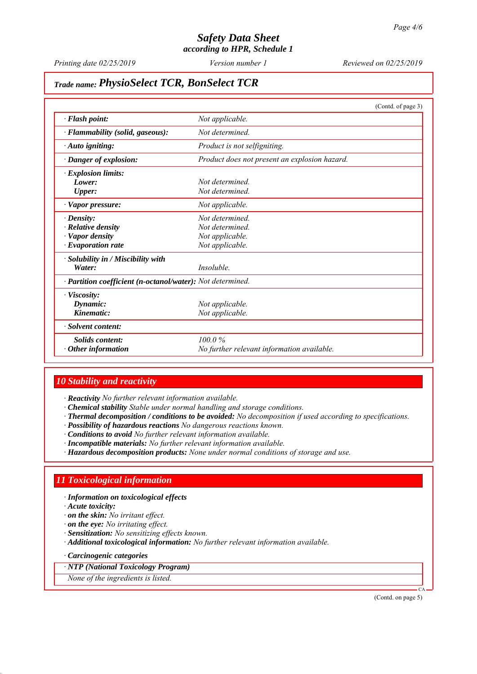*Printing date 02/25/2019 Reviewed on 02/25/2019 Version number 1*

# *Trade name: PhysioSelect TCR, BonSelect TCR*

|                                                            | (Contd. of page 3)                            |  |
|------------------------------------------------------------|-----------------------------------------------|--|
| · Flash point:                                             | Not applicable.                               |  |
| · Flammability (solid, gaseous):                           | Not determined.                               |  |
| $\cdot$ Auto igniting:                                     | Product is not selfigniting.                  |  |
| Danger of explosion:                                       | Product does not present an explosion hazard. |  |
| · Explosion limits:                                        |                                               |  |
| Lower:                                                     | Not determined.                               |  |
| <b>Upper:</b>                                              | Not determined.                               |  |
| · Vapor pressure:                                          | Not applicable.                               |  |
| $\cdot$ Density:                                           | Not determined                                |  |
| $\cdot$ Relative density                                   | Not determined.                               |  |
| · Vapor density                                            | Not applicable.                               |  |
| $\cdot$ Evaporation rate                                   | Not applicable.                               |  |
| · Solubility in / Miscibility with                         |                                               |  |
| Water:                                                     | Insoluble.                                    |  |
| · Partition coefficient (n-octanol/water): Not determined. |                                               |  |
| · Viscosity:                                               |                                               |  |
| Dynamic:                                                   | Not applicable.                               |  |
| Kinematic:                                                 | Not applicable.                               |  |
| · Solvent content:                                         |                                               |  |
| <b>Solids</b> content:                                     | 100.0%                                        |  |
| $\cdot$ Other information                                  | No further relevant information available.    |  |

# *10 Stability and reactivity*

*∙ Reactivity No further relevant information available.*

- *∙ Chemical stability Stable under normal handling and storage conditions.*
- *∙ Thermal decomposition / conditions to be avoided: No decomposition if used according to specifications.*
- *∙ Possibility of hazardous reactions No dangerous reactions known.*
- *∙ Conditions to avoid No further relevant information available.*
- *∙ Incompatible materials: No further relevant information available.*
- *∙ Hazardous decomposition products: None under normal conditions of storage and use.*

## *11 Toxicological information*

*∙ Information on toxicological effects*

- *∙ Acute toxicity:*
- *∙ on the skin: No irritant effect.*
- *∙ on the eye: No irritating effect.*
- *∙ Sensitization: No sensitizing effects known.*
- *∙ Additional toxicological information: No further relevant information available.*

*∙ Carcinogenic categories*

*∙ NTP (National Toxicology Program)*

*None of the ingredients is listed.*

(Contd. on page 5)

CA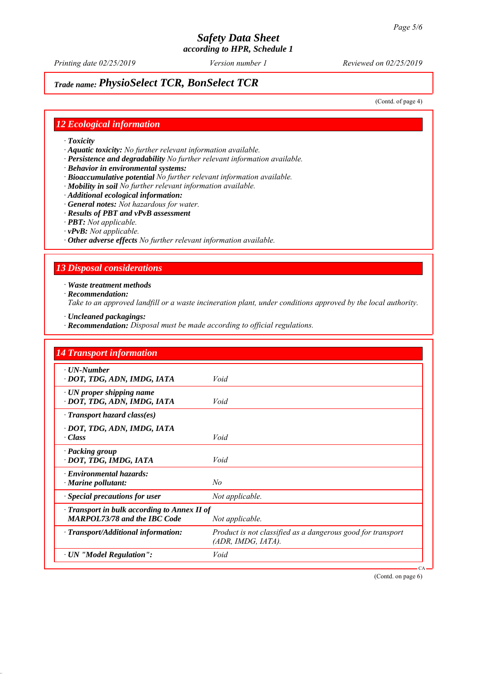*Printing date 02/25/2019 Reviewed on 02/25/2019 Version number 1*

# *Trade name: PhysioSelect TCR, BonSelect TCR*

(Contd. of page 4)

# *12 Ecological information*

*∙ Toxicity*

*∙ Aquatic toxicity: No further relevant information available.*

*∙ Persistence and degradability No further relevant information available.*

*∙ Behavior in environmental systems:*

*∙ Bioaccumulative potential No further relevant information available.*

*∙ Mobility in soil No further relevant information available.*

- *∙ Additional ecological information:*
- *∙ General notes: Not hazardous for water.*
- *∙ Results of PBT and vPvB assessment*
- *∙ PBT: Not applicable.*
- *∙ vPvB: Not applicable.*
- *∙ Other adverse effects No further relevant information available.*

# *13 Disposal considerations*

*∙ Waste treatment methods*

*∙ Recommendation:*

*Take to an approved landfill or a waste incineration plant, under conditions approved by the local authority.*

- *∙ Uncleaned packagings:*
- *∙ Recommendation: Disposal must be made according to official regulations.*

| <b>14 Transport information</b>                                                           |                                                                                   |  |
|-------------------------------------------------------------------------------------------|-----------------------------------------------------------------------------------|--|
| $\cdot$ UN-Number<br>· DOT, TDG, ADN, IMDG, IATA                                          | Void                                                                              |  |
| $\cdot$ UN proper shipping name<br>· DOT, TDG, ADN, IMDG, IATA                            | Void                                                                              |  |
| · Transport hazard class(es)                                                              |                                                                                   |  |
| · DOT, TDG, ADN, IMDG, IATA<br>· Class                                                    | Void                                                                              |  |
| · Packing group<br>· DOT, TDG, IMDG, IATA                                                 | Void                                                                              |  |
| $\cdot$ Environmental hazards:<br>$\cdot$ Marine pollutant:                               | No                                                                                |  |
| · Special precautions for user                                                            | Not applicable.                                                                   |  |
| $\cdot$ Transport in bulk according to Annex II of<br><b>MARPOL73/78 and the IBC Code</b> | Not applicable.                                                                   |  |
| · Transport/Additional information:                                                       | Product is not classified as a dangerous good for transport<br>(ADR, IMDG, IATA). |  |
| · UN "Model Regulation":                                                                  | Void                                                                              |  |

(Contd. on page 6)

CA